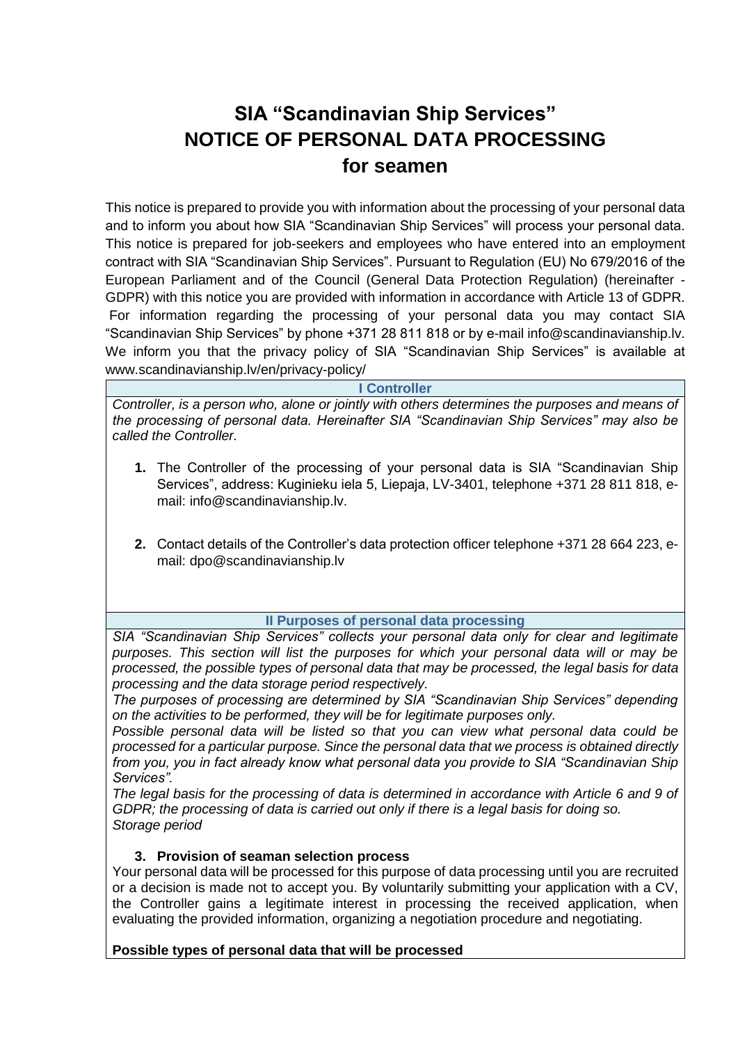# **SIA "Scandinavian Ship Services" NOTICE OF PERSONAL DATA PROCESSING for seamen**

This notice is prepared to provide you with information about the processing of your personal data and to inform you about how SIA "Scandinavian Ship Services" will process your personal data. This notice is prepared for job-seekers and employees who have entered into an employment contract with SIA "Scandinavian Ship Services". Pursuant to Regulation (EU) No 679/2016 of the European Parliament and of the Council (General Data Protection Regulation) (hereinafter - GDPR) with this notice you are provided with information in accordance with Article 13 of GDPR. For information regarding the processing of your personal data you may contact SIA "Scandinavian Ship Services" by phone +371 28 811 818 or by e-mail info@scandinavianship.lv. We inform you that the privacy policy of SIA "Scandinavian Ship Services" is available at www.scandinavianship.lv/en/privacy-policy/

**I Controller**

*Controller, is a person who, alone or jointly with others determines the purposes and means of the processing of personal data. Hereinafter SIA "Scandinavian Ship Services" may also be called the Controller.*

- **1.** The Controller of the processing of your personal data is SIA "Scandinavian Ship Services", address: Kuginieku iela 5, Liepaja, LV-3401, telephone +371 28 811 818, email: info@scandinavianship.lv.
- **2.** Contact details of the Controller's data protection officer telephone +371 28 664 223, email: dpo@scandinavianship.lv

# **II Purposes of personal data processing**

*SIA "Scandinavian Ship Services" collects your personal data only for clear and legitimate purposes. This section will list the purposes for which your personal data will or may be processed, the possible types of personal data that may be processed, the legal basis for data processing and the data storage period respectively.* 

*The purposes of processing are determined by SIA "Scandinavian Ship Services" depending on the activities to be performed, they will be for legitimate purposes only.*

*Possible personal data will be listed so that you can view what personal data could be processed for a particular purpose. Since the personal data that we process is obtained directly from you, you in fact already know what personal data you provide to SIA "Scandinavian Ship Services".*

*The legal basis for the processing of data is determined in accordance with Article 6 and 9 of GDPR; the processing of data is carried out only if there is a legal basis for doing so. Storage period* 

# **3. Provision of seaman selection process**

Your personal data will be processed for this purpose of data processing until you are recruited or a decision is made not to accept you. By voluntarily submitting your application with a CV, the Controller gains a legitimate interest in processing the received application, when evaluating the provided information, organizing a negotiation procedure and negotiating.

# **Possible types of personal data that will be processed**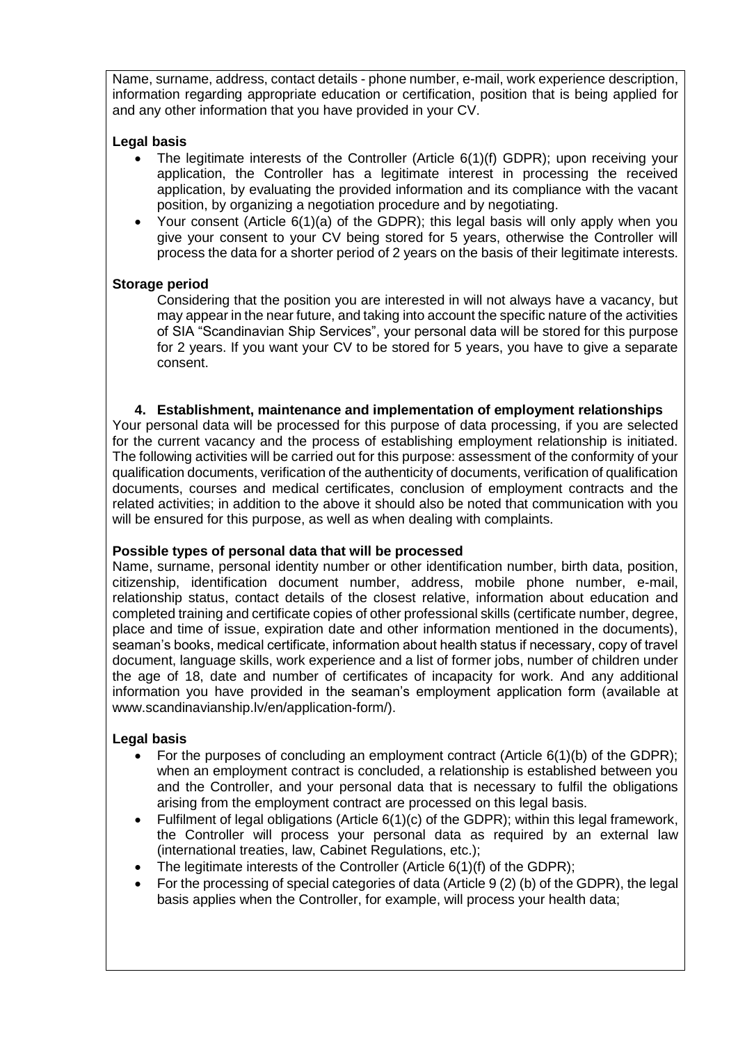Name, surname, address, contact details - phone number, e-mail, work experience description, information regarding appropriate education or certification, position that is being applied for and any other information that you have provided in your CV.

## **Legal basis**

- The legitimate interests of the Controller (Article 6(1)(f) GDPR); upon receiving your application, the Controller has a legitimate interest in processing the received application, by evaluating the provided information and its compliance with the vacant position, by organizing a negotiation procedure and by negotiating.
- Your consent (Article 6(1)(a) of the GDPR); this legal basis will only apply when you give your consent to your CV being stored for 5 years, otherwise the Controller will process the data for a shorter period of 2 years on the basis of their legitimate interests.

# **Storage period**

Considering that the position you are interested in will not always have a vacancy, but may appear in the near future, and taking into account the specific nature of the activities of SIA "Scandinavian Ship Services", your personal data will be stored for this purpose for 2 years. If you want your CV to be stored for 5 years, you have to give a separate consent.

#### **4. Establishment, maintenance and implementation of employment relationships**

Your personal data will be processed for this purpose of data processing, if you are selected for the current vacancy and the process of establishing employment relationship is initiated. The following activities will be carried out for this purpose: assessment of the conformity of your qualification documents, verification of the authenticity of documents, verification of qualification documents, courses and medical certificates, conclusion of employment contracts and the related activities; in addition to the above it should also be noted that communication with you will be ensured for this purpose, as well as when dealing with complaints.

#### **Possible types of personal data that will be processed**

Name, surname, personal identity number or other identification number, birth data, position, citizenship, identification document number, address, mobile phone number, e-mail, relationship status, contact details of the closest relative, information about education and completed training and certificate copies of other professional skills (certificate number, degree, place and time of issue, expiration date and other information mentioned in the documents), seaman's books, medical certificate, information about health status if necessary, copy of travel document, language skills, work experience and a list of former jobs, number of children under the age of 18, date and number of certificates of incapacity for work. And any additional information you have provided in the seaman's employment application form (available at www.scandinavianship.lv/en/application-form/).

#### **Legal basis**

- For the purposes of concluding an employment contract (Article  $6(1)(b)$  of the GDPR); when an employment contract is concluded, a relationship is established between you and the Controller, and your personal data that is necessary to fulfil the obligations arising from the employment contract are processed on this legal basis.
- Fulfilment of legal obligations (Article 6(1)(c) of the GDPR); within this legal framework, the Controller will process your personal data as required by an external law (international treaties, law, Cabinet Regulations, etc.);
- The legitimate interests of the Controller (Article  $6(1)(f)$  of the GDPR);
- For the processing of special categories of data (Article 9 (2) (b) of the GDPR), the legal basis applies when the Controller, for example, will process your health data;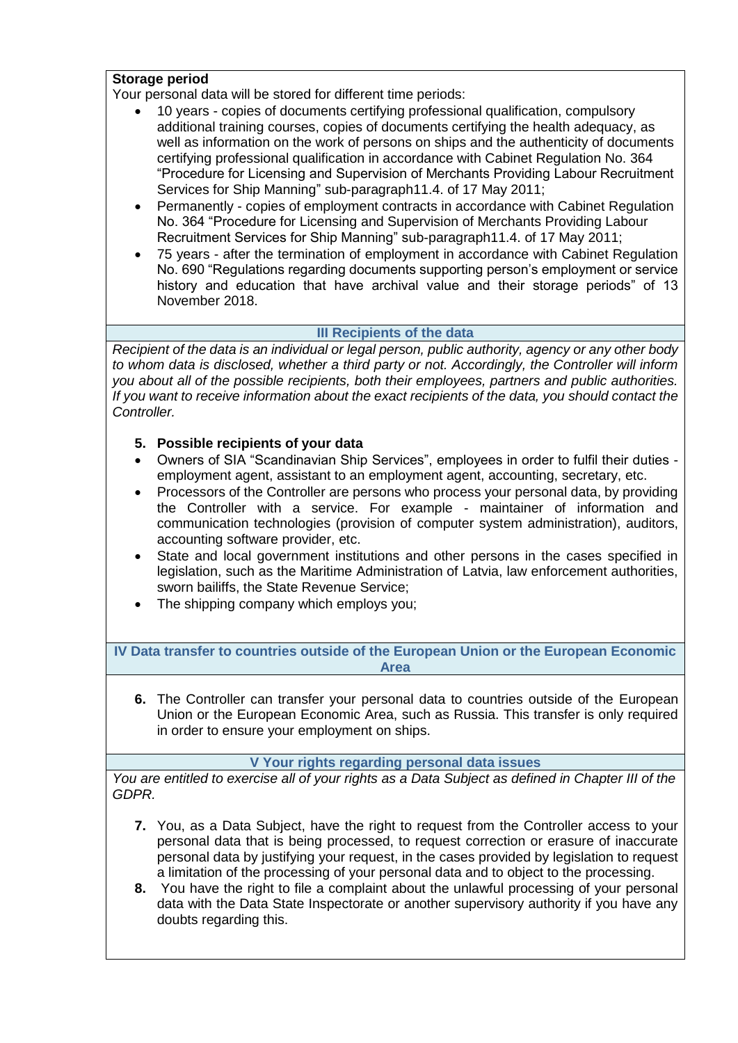## **Storage period**

Your personal data will be stored for different time periods:

- 10 years copies of documents certifying professional qualification, compulsory additional training courses, copies of documents certifying the health adequacy, as well as information on the work of persons on ships and the authenticity of documents certifying professional qualification in accordance with Cabinet Regulation No. 364 "Procedure for Licensing and Supervision of Merchants Providing Labour Recruitment Services for Ship Manning" sub-paragraph11.4. of 17 May 2011;
- Permanently copies of employment contracts in accordance with Cabinet Regulation No. 364 "Procedure for Licensing and Supervision of Merchants Providing Labour Recruitment Services for Ship Manning" sub-paragraph11.4. of 17 May 2011;
- 75 years after the termination of employment in accordance with Cabinet Regulation No. 690 "Regulations regarding documents supporting person's employment or service history and education that have archival value and their storage periods" of 13 November 2018.

# **III Recipients of the data**

*Recipient of the data is an individual or legal person, public authority, agency or any other body to whom data is disclosed, whether a third party or not. Accordingly, the Controller will inform you about all of the possible recipients, both their employees, partners and public authorities. If you want to receive information about the exact recipients of the data, you should contact the Controller.*

# **5. Possible recipients of your data**

- Owners of SIA "Scandinavian Ship Services", employees in order to fulfil their duties employment agent, assistant to an employment agent, accounting, secretary, etc.
- Processors of the Controller are persons who process your personal data, by providing the Controller with a service. For example - maintainer of information and communication technologies (provision of computer system administration), auditors, accounting software provider, etc.
- State and local government institutions and other persons in the cases specified in legislation, such as the Maritime Administration of Latvia, law enforcement authorities, sworn bailiffs, the State Revenue Service;
- The shipping company which employs you;

**IV Data transfer to countries outside of the European Union or the European Economic Area**

**6.** The Controller can transfer your personal data to countries outside of the European Union or the European Economic Area, such as Russia. This transfer is only required in order to ensure your employment on ships.

**V Your rights regarding personal data issues**

*You are entitled to exercise all of your rights as a Data Subject as defined in Chapter III of the GDPR.*

- **7.** You, as a Data Subject, have the right to request from the Controller access to your personal data that is being processed, to request correction or erasure of inaccurate personal data by justifying your request, in the cases provided by legislation to request a limitation of the processing of your personal data and to object to the processing.
- **8.** You have the right to file a complaint about the unlawful processing of your personal data with the Data State Inspectorate or another supervisory authority if you have any doubts regarding this.